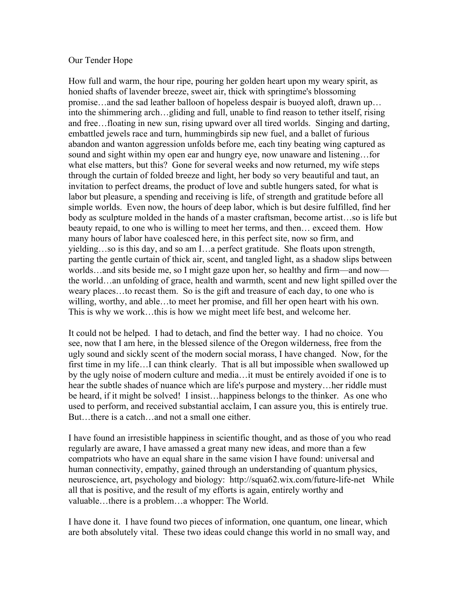## Our Tender Hope

How full and warm, the hour ripe, pouring her golden heart upon my weary spirit, as honied shafts of lavender breeze, sweet air, thick with springtime's blossoming promise…and the sad leather balloon of hopeless despair is buoyed aloft, drawn up… into the shimmering arch…gliding and full, unable to find reason to tether itself, rising and free…floating in new sun, rising upward over all tired worlds. Singing and darting, embattled jewels race and turn, hummingbirds sip new fuel, and a ballet of furious abandon and wanton aggression unfolds before me, each tiny beating wing captured as sound and sight within my open ear and hungry eye, now unaware and listening…for what else matters, but this? Gone for several weeks and now returned, my wife steps through the curtain of folded breeze and light, her body so very beautiful and taut, an invitation to perfect dreams, the product of love and subtle hungers sated, for what is labor but pleasure, a spending and receiving is life, of strength and gratitude before all simple worlds. Even now, the hours of deep labor, which is but desire fulfilled, find her body as sculpture molded in the hands of a master craftsman, become artist…so is life but beauty repaid, to one who is willing to meet her terms, and then… exceed them. How many hours of labor have coalesced here, in this perfect site, now so firm, and yielding…so is this day, and so am I…a perfect gratitude. She floats upon strength, parting the gentle curtain of thick air, scent, and tangled light, as a shadow slips between worlds…and sits beside me, so I might gaze upon her, so healthy and firm—and now the world…an unfolding of grace, health and warmth, scent and new light spilled over the weary places…to recast them. So is the gift and treasure of each day, to one who is willing, worthy, and able…to meet her promise, and fill her open heart with his own. This is why we work…this is how we might meet life best, and welcome her.

It could not be helped. I had to detach, and find the better way. I had no choice. You see, now that I am here, in the blessed silence of the Oregon wilderness, free from the ugly sound and sickly scent of the modern social morass, I have changed. Now, for the first time in my life…I can think clearly. That is all but impossible when swallowed up by the ugly noise of modern culture and media…it must be entirely avoided if one is to hear the subtle shades of nuance which are life's purpose and mystery…her riddle must be heard, if it might be solved! I insist…happiness belongs to the thinker. As one who used to perform, and received substantial acclaim, I can assure you, this is entirely true. But…there is a catch…and not a small one either.

I have found an irresistible happiness in scientific thought, and as those of you who read regularly are aware, I have amassed a great many new ideas, and more than a few compatriots who have an equal share in the same vision I have found: universal and human connectivity, empathy, gained through an understanding of quantum physics, neuroscience, art, psychology and biology: http://squa62.wix.com/future-life-net While all that is positive, and the result of my efforts is again, entirely worthy and valuable…there is a problem…a whopper: The World.

I have done it. I have found two pieces of information, one quantum, one linear, which are both absolutely vital. These two ideas could change this world in no small way, and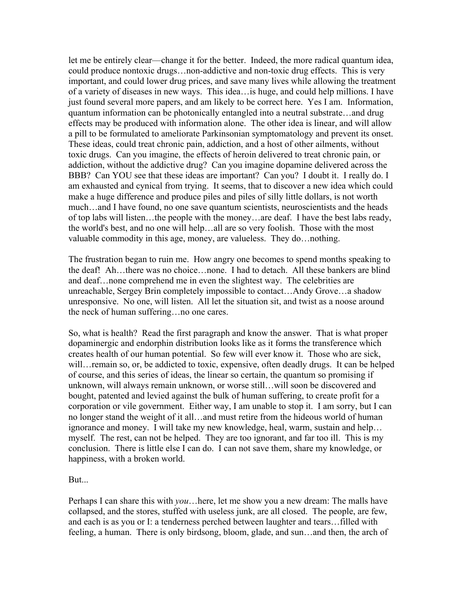let me be entirely clear––change it for the better. Indeed, the more radical quantum idea, could produce nontoxic drugs…non-addictive and non-toxic drug effects. This is very important, and could lower drug prices, and save many lives while allowing the treatment of a variety of diseases in new ways. This idea…is huge, and could help millions. I have just found several more papers, and am likely to be correct here. Yes I am. Information, quantum information can be photonically entangled into a neutral substrate…and drug effects may be produced with information alone. The other idea is linear, and will allow a pill to be formulated to ameliorate Parkinsonian symptomatology and prevent its onset. These ideas, could treat chronic pain, addiction, and a host of other ailments, without toxic drugs. Can you imagine, the effects of heroin delivered to treat chronic pain, or addiction, without the addictive drug? Can you imagine dopamine delivered across the BBB? Can YOU see that these ideas are important? Can you? I doubt it. I really do. I am exhausted and cynical from trying. It seems, that to discover a new idea which could make a huge difference and produce piles and piles of silly little dollars, is not worth much…and I have found, no one save quantum scientists, neuroscientists and the heads of top labs will listen…the people with the money…are deaf. I have the best labs ready, the world's best, and no one will help…all are so very foolish. Those with the most valuable commodity in this age, money, are valueless. They do…nothing.

The frustration began to ruin me. How angry one becomes to spend months speaking to the deaf! Ah…there was no choice…none. I had to detach. All these bankers are blind and deaf…none comprehend me in even the slightest way. The celebrities are unreachable, Sergey Brin completely impossible to contact…Andy Grove…a shadow unresponsive. No one, will listen. All let the situation sit, and twist as a noose around the neck of human suffering…no one cares.

So, what is health? Read the first paragraph and know the answer. That is what proper dopaminergic and endorphin distribution looks like as it forms the transference which creates health of our human potential. So few will ever know it. Those who are sick, will…remain so, or, be addicted to toxic, expensive, often deadly drugs. It can be helped of course, and this series of ideas, the linear so certain, the quantum so promising if unknown, will always remain unknown, or worse still…will soon be discovered and bought, patented and levied against the bulk of human suffering, to create profit for a corporation or vile government. Either way, I am unable to stop it. I am sorry, but I can no longer stand the weight of it all…and must retire from the hideous world of human ignorance and money. I will take my new knowledge, heal, warm, sustain and help… myself. The rest, can not be helped. They are too ignorant, and far too ill. This is my conclusion. There is little else I can do. I can not save them, share my knowledge, or happiness, with a broken world.

But.

Perhaps I can share this with *you*…here, let me show you a new dream: The malls have collapsed, and the stores, stuffed with useless junk, are all closed. The people, are few, and each is as you or I: a tenderness perched between laughter and tears…filled with feeling, a human. There is only birdsong, bloom, glade, and sun…and then, the arch of